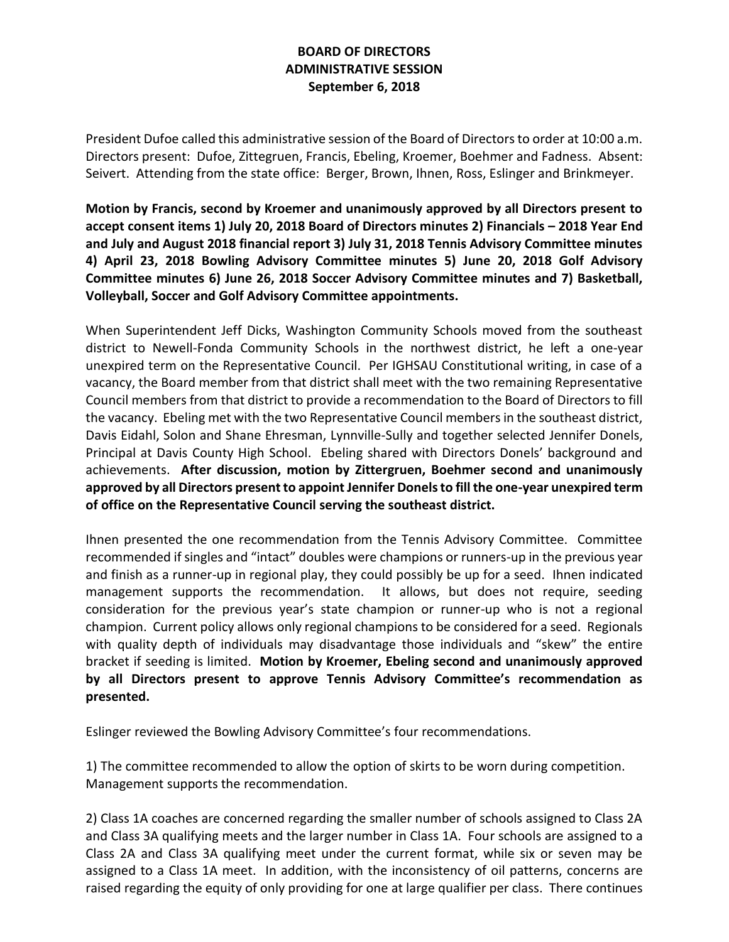## **BOARD OF DIRECTORS ADMINISTRATIVE SESSION September 6, 2018**

President Dufoe called this administrative session of the Board of Directors to order at 10:00 a.m. Directors present: Dufoe, Zittegruen, Francis, Ebeling, Kroemer, Boehmer and Fadness. Absent: Seivert. Attending from the state office: Berger, Brown, Ihnen, Ross, Eslinger and Brinkmeyer.

**Motion by Francis, second by Kroemer and unanimously approved by all Directors present to accept consent items 1) July 20, 2018 Board of Directors minutes 2) Financials – 2018 Year End and July and August 2018 financial report 3) July 31, 2018 Tennis Advisory Committee minutes 4) April 23, 2018 Bowling Advisory Committee minutes 5) June 20, 2018 Golf Advisory Committee minutes 6) June 26, 2018 Soccer Advisory Committee minutes and 7) Basketball, Volleyball, Soccer and Golf Advisory Committee appointments.**

When Superintendent Jeff Dicks, Washington Community Schools moved from the southeast district to Newell-Fonda Community Schools in the northwest district, he left a one-year unexpired term on the Representative Council. Per IGHSAU Constitutional writing, in case of a vacancy, the Board member from that district shall meet with the two remaining Representative Council members from that district to provide a recommendation to the Board of Directors to fill the vacancy. Ebeling met with the two Representative Council members in the southeast district, Davis Eidahl, Solon and Shane Ehresman, Lynnville-Sully and together selected Jennifer Donels, Principal at Davis County High School. Ebeling shared with Directors Donels' background and achievements. **After discussion, motion by Zittergruen, Boehmer second and unanimously approved by all Directors present to appoint Jennifer Donels to fill the one-year unexpired term of office on the Representative Council serving the southeast district.**

Ihnen presented the one recommendation from the Tennis Advisory Committee. Committee recommended if singles and "intact" doubles were champions or runners-up in the previous year and finish as a runner-up in regional play, they could possibly be up for a seed. Ihnen indicated management supports the recommendation. It allows, but does not require, seeding consideration for the previous year's state champion or runner-up who is not a regional champion. Current policy allows only regional champions to be considered for a seed. Regionals with quality depth of individuals may disadvantage those individuals and "skew" the entire bracket if seeding is limited. **Motion by Kroemer, Ebeling second and unanimously approved by all Directors present to approve Tennis Advisory Committee's recommendation as presented.**

Eslinger reviewed the Bowling Advisory Committee's four recommendations.

1) The committee recommended to allow the option of skirts to be worn during competition. Management supports the recommendation.

2) Class 1A coaches are concerned regarding the smaller number of schools assigned to Class 2A and Class 3A qualifying meets and the larger number in Class 1A. Four schools are assigned to a Class 2A and Class 3A qualifying meet under the current format, while six or seven may be assigned to a Class 1A meet. In addition, with the inconsistency of oil patterns, concerns are raised regarding the equity of only providing for one at large qualifier per class. There continues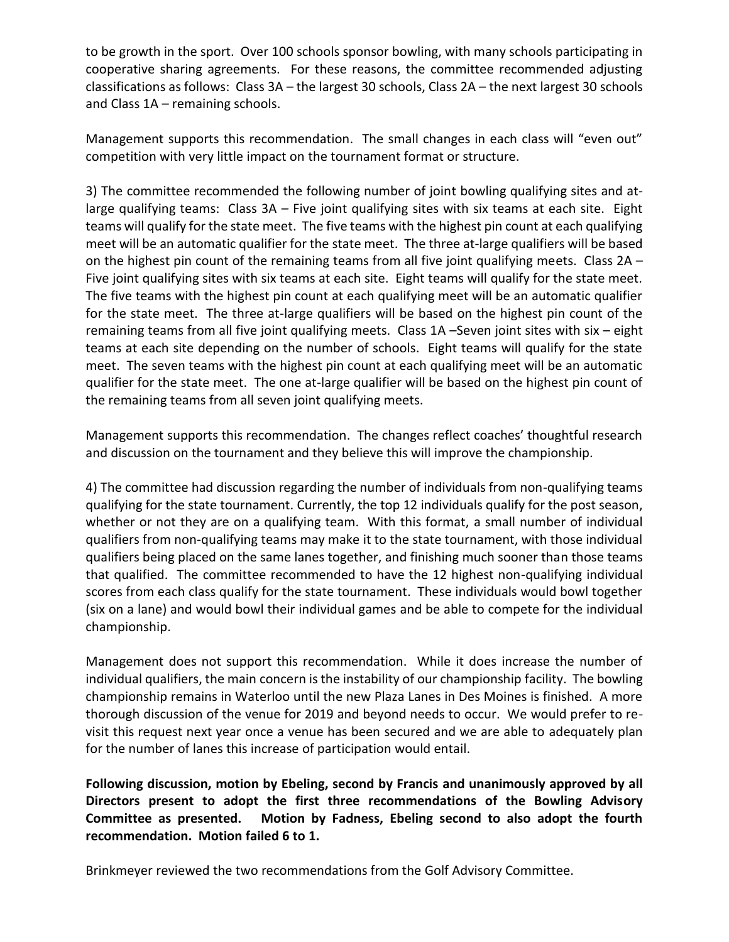to be growth in the sport. Over 100 schools sponsor bowling, with many schools participating in cooperative sharing agreements. For these reasons, the committee recommended adjusting classifications as follows: Class 3A – the largest 30 schools, Class 2A – the next largest 30 schools and Class 1A – remaining schools.

Management supports this recommendation. The small changes in each class will "even out" competition with very little impact on the tournament format or structure.

3) The committee recommended the following number of joint bowling qualifying sites and atlarge qualifying teams: Class 3A – Five joint qualifying sites with six teams at each site. Eight teams will qualify for the state meet. The five teams with the highest pin count at each qualifying meet will be an automatic qualifier for the state meet. The three at-large qualifiers will be based on the highest pin count of the remaining teams from all five joint qualifying meets. Class 2A – Five joint qualifying sites with six teams at each site. Eight teams will qualify for the state meet. The five teams with the highest pin count at each qualifying meet will be an automatic qualifier for the state meet. The three at-large qualifiers will be based on the highest pin count of the remaining teams from all five joint qualifying meets. Class 1A –Seven joint sites with six – eight teams at each site depending on the number of schools. Eight teams will qualify for the state meet. The seven teams with the highest pin count at each qualifying meet will be an automatic qualifier for the state meet. The one at-large qualifier will be based on the highest pin count of the remaining teams from all seven joint qualifying meets.

Management supports this recommendation. The changes reflect coaches' thoughtful research and discussion on the tournament and they believe this will improve the championship.

4) The committee had discussion regarding the number of individuals from non-qualifying teams qualifying for the state tournament. Currently, the top 12 individuals qualify for the post season, whether or not they are on a qualifying team. With this format, a small number of individual qualifiers from non-qualifying teams may make it to the state tournament, with those individual qualifiers being placed on the same lanes together, and finishing much sooner than those teams that qualified. The committee recommended to have the 12 highest non-qualifying individual scores from each class qualify for the state tournament. These individuals would bowl together (six on a lane) and would bowl their individual games and be able to compete for the individual championship.

Management does not support this recommendation. While it does increase the number of individual qualifiers, the main concern is the instability of our championship facility. The bowling championship remains in Waterloo until the new Plaza Lanes in Des Moines is finished. A more thorough discussion of the venue for 2019 and beyond needs to occur. We would prefer to revisit this request next year once a venue has been secured and we are able to adequately plan for the number of lanes this increase of participation would entail.

**Following discussion, motion by Ebeling, second by Francis and unanimously approved by all Directors present to adopt the first three recommendations of the Bowling Advisory Committee as presented. Motion by Fadness, Ebeling second to also adopt the fourth recommendation. Motion failed 6 to 1.** 

Brinkmeyer reviewed the two recommendations from the Golf Advisory Committee.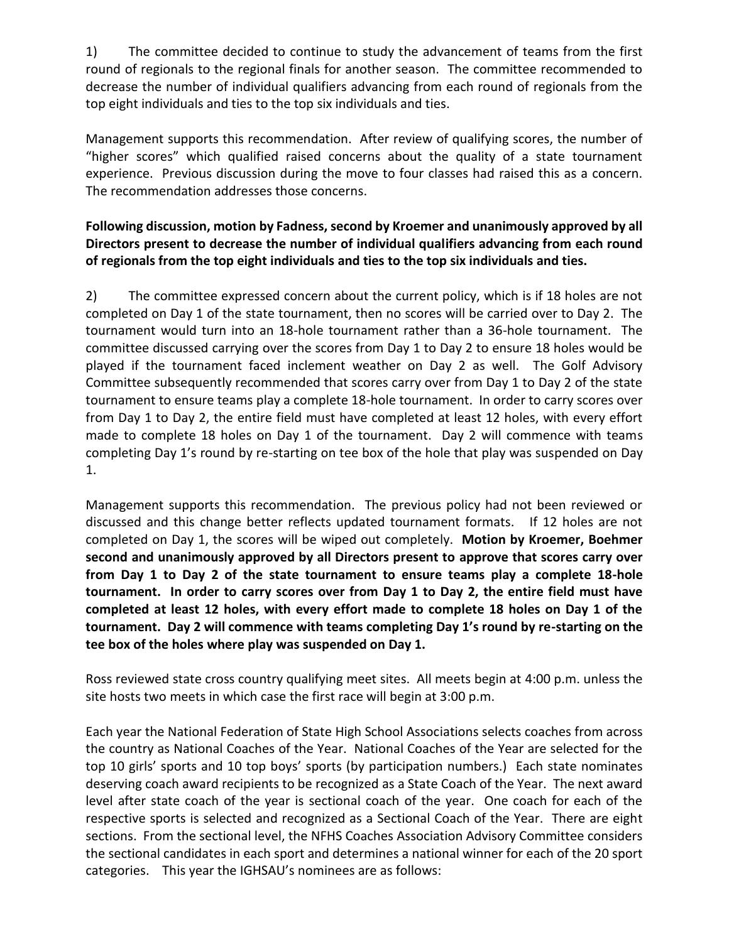1) The committee decided to continue to study the advancement of teams from the first round of regionals to the regional finals for another season. The committee recommended to decrease the number of individual qualifiers advancing from each round of regionals from the top eight individuals and ties to the top six individuals and ties.

Management supports this recommendation. After review of qualifying scores, the number of "higher scores" which qualified raised concerns about the quality of a state tournament experience. Previous discussion during the move to four classes had raised this as a concern. The recommendation addresses those concerns.

## **Following discussion, motion by Fadness, second by Kroemer and unanimously approved by all Directors present to decrease the number of individual qualifiers advancing from each round of regionals from the top eight individuals and ties to the top six individuals and ties.**

2) The committee expressed concern about the current policy, which is if 18 holes are not completed on Day 1 of the state tournament, then no scores will be carried over to Day 2. The tournament would turn into an 18-hole tournament rather than a 36-hole tournament. The committee discussed carrying over the scores from Day 1 to Day 2 to ensure 18 holes would be played if the tournament faced inclement weather on Day 2 as well. The Golf Advisory Committee subsequently recommended that scores carry over from Day 1 to Day 2 of the state tournament to ensure teams play a complete 18-hole tournament. In order to carry scores over from Day 1 to Day 2, the entire field must have completed at least 12 holes, with every effort made to complete 18 holes on Day 1 of the tournament. Day 2 will commence with teams completing Day 1's round by re-starting on tee box of the hole that play was suspended on Day 1.

Management supports this recommendation. The previous policy had not been reviewed or discussed and this change better reflects updated tournament formats. If 12 holes are not completed on Day 1, the scores will be wiped out completely. **Motion by Kroemer, Boehmer second and unanimously approved by all Directors present to approve that scores carry over from Day 1 to Day 2 of the state tournament to ensure teams play a complete 18-hole tournament. In order to carry scores over from Day 1 to Day 2, the entire field must have completed at least 12 holes, with every effort made to complete 18 holes on Day 1 of the tournament. Day 2 will commence with teams completing Day 1's round by re-starting on the tee box of the holes where play was suspended on Day 1.**

Ross reviewed state cross country qualifying meet sites. All meets begin at 4:00 p.m. unless the site hosts two meets in which case the first race will begin at 3:00 p.m.

Each year the National Federation of State High School Associations selects coaches from across the country as National Coaches of the Year. National Coaches of the Year are selected for the top 10 girls' sports and 10 top boys' sports (by participation numbers.) Each state nominates deserving coach award recipients to be recognized as a State Coach of the Year. The next award level after state coach of the year is sectional coach of the year. One coach for each of the respective sports is selected and recognized as a Sectional Coach of the Year. There are eight sections. From the sectional level, the NFHS Coaches Association Advisory Committee considers the sectional candidates in each sport and determines a national winner for each of the 20 sport categories. This year the IGHSAU's nominees are as follows: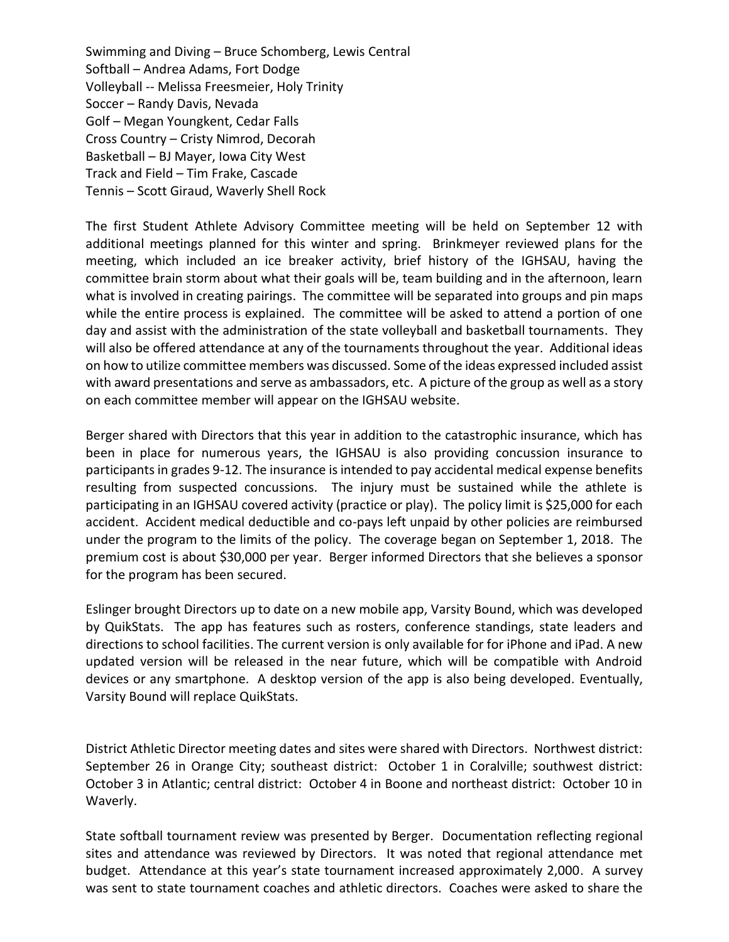Swimming and Diving – Bruce Schomberg, Lewis Central Softball – Andrea Adams, Fort Dodge Volleyball -- Melissa Freesmeier, Holy Trinity Soccer – Randy Davis, Nevada Golf – Megan Youngkent, Cedar Falls Cross Country – Cristy Nimrod, Decorah Basketball – BJ Mayer, Iowa City West Track and Field – Tim Frake, Cascade Tennis – Scott Giraud, Waverly Shell Rock

The first Student Athlete Advisory Committee meeting will be held on September 12 with additional meetings planned for this winter and spring. Brinkmeyer reviewed plans for the meeting, which included an ice breaker activity, brief history of the IGHSAU, having the committee brain storm about what their goals will be, team building and in the afternoon, learn what is involved in creating pairings. The committee will be separated into groups and pin maps while the entire process is explained. The committee will be asked to attend a portion of one day and assist with the administration of the state volleyball and basketball tournaments. They will also be offered attendance at any of the tournaments throughout the year. Additional ideas on how to utilize committee members was discussed. Some of the ideas expressed included assist with award presentations and serve as ambassadors, etc. A picture of the group as well as a story on each committee member will appear on the IGHSAU website.

Berger shared with Directors that this year in addition to the catastrophic insurance, which has been in place for numerous years, the IGHSAU is also providing concussion insurance to participants in grades 9-12. The insurance is intended to pay accidental medical expense benefits resulting from suspected concussions. The injury must be sustained while the athlete is participating in an IGHSAU covered activity (practice or play). The policy limit is \$25,000 for each accident. Accident medical deductible and co-pays left unpaid by other policies are reimbursed under the program to the limits of the policy. The coverage began on September 1, 2018. The premium cost is about \$30,000 per year. Berger informed Directors that she believes a sponsor for the program has been secured.

Eslinger brought Directors up to date on a new mobile app, Varsity Bound, which was developed by QuikStats. The app has features such as rosters, conference standings, state leaders and directions to school facilities. The current version is only available for for iPhone and iPad. A new updated version will be released in the near future, which will be compatible with Android devices or any smartphone. A desktop version of the app is also being developed. Eventually, Varsity Bound will replace QuikStats.

District Athletic Director meeting dates and sites were shared with Directors. Northwest district: September 26 in Orange City; southeast district: October 1 in Coralville; southwest district: October 3 in Atlantic; central district: October 4 in Boone and northeast district: October 10 in Waverly.

State softball tournament review was presented by Berger. Documentation reflecting regional sites and attendance was reviewed by Directors. It was noted that regional attendance met budget. Attendance at this year's state tournament increased approximately 2,000. A survey was sent to state tournament coaches and athletic directors. Coaches were asked to share the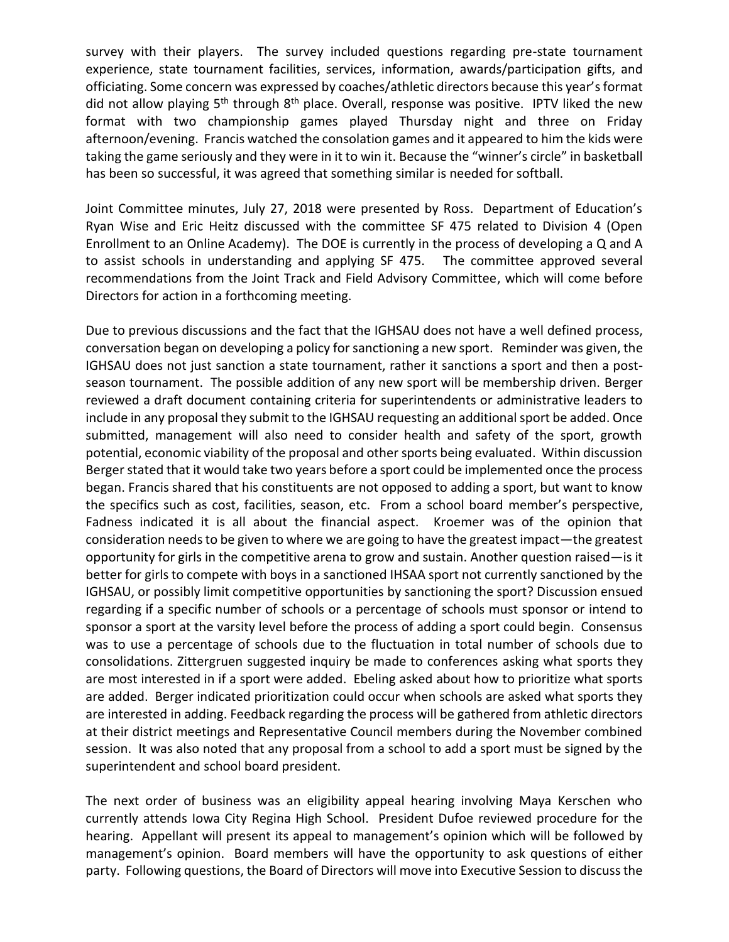survey with their players. The survey included questions regarding pre-state tournament experience, state tournament facilities, services, information, awards/participation gifts, and officiating. Some concern was expressed by coaches/athletic directors because this year's format did not allow playing 5<sup>th</sup> through 8<sup>th</sup> place. Overall, response was positive. IPTV liked the new format with two championship games played Thursday night and three on Friday afternoon/evening. Francis watched the consolation games and it appeared to him the kids were taking the game seriously and they were in it to win it. Because the "winner's circle" in basketball has been so successful, it was agreed that something similar is needed for softball.

Joint Committee minutes, July 27, 2018 were presented by Ross. Department of Education's Ryan Wise and Eric Heitz discussed with the committee SF 475 related to Division 4 (Open Enrollment to an Online Academy). The DOE is currently in the process of developing a Q and A to assist schools in understanding and applying SF 475. The committee approved several recommendations from the Joint Track and Field Advisory Committee, which will come before Directors for action in a forthcoming meeting.

Due to previous discussions and the fact that the IGHSAU does not have a well defined process, conversation began on developing a policy for sanctioning a new sport. Reminder was given, the IGHSAU does not just sanction a state tournament, rather it sanctions a sport and then a postseason tournament. The possible addition of any new sport will be membership driven. Berger reviewed a draft document containing criteria for superintendents or administrative leaders to include in any proposal they submit to the IGHSAU requesting an additional sport be added. Once submitted, management will also need to consider health and safety of the sport, growth potential, economic viability of the proposal and other sports being evaluated. Within discussion Berger stated that it would take two years before a sport could be implemented once the process began. Francis shared that his constituents are not opposed to adding a sport, but want to know the specifics such as cost, facilities, season, etc. From a school board member's perspective, Fadness indicated it is all about the financial aspect. Kroemer was of the opinion that consideration needs to be given to where we are going to have the greatest impact—the greatest opportunity for girls in the competitive arena to grow and sustain. Another question raised—is it better for girls to compete with boys in a sanctioned IHSAA sport not currently sanctioned by the IGHSAU, or possibly limit competitive opportunities by sanctioning the sport? Discussion ensued regarding if a specific number of schools or a percentage of schools must sponsor or intend to sponsor a sport at the varsity level before the process of adding a sport could begin. Consensus was to use a percentage of schools due to the fluctuation in total number of schools due to consolidations. Zittergruen suggested inquiry be made to conferences asking what sports they are most interested in if a sport were added. Ebeling asked about how to prioritize what sports are added. Berger indicated prioritization could occur when schools are asked what sports they are interested in adding. Feedback regarding the process will be gathered from athletic directors at their district meetings and Representative Council members during the November combined session. It was also noted that any proposal from a school to add a sport must be signed by the superintendent and school board president.

The next order of business was an eligibility appeal hearing involving Maya Kerschen who currently attends Iowa City Regina High School. President Dufoe reviewed procedure for the hearing. Appellant will present its appeal to management's opinion which will be followed by management's opinion. Board members will have the opportunity to ask questions of either party. Following questions, the Board of Directors will move into Executive Session to discuss the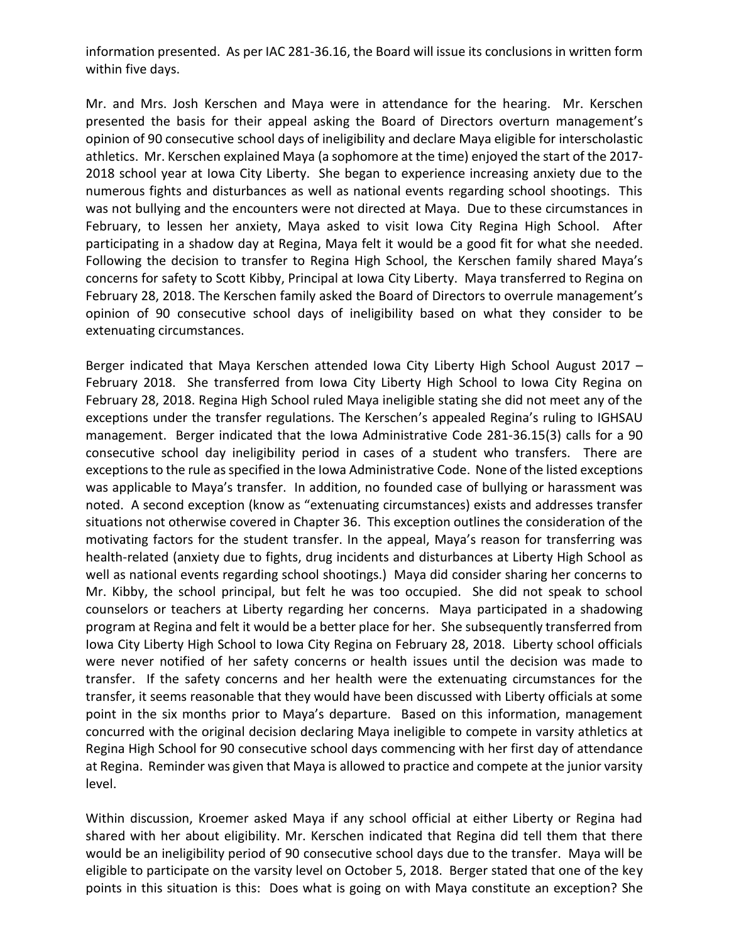information presented. As per IAC 281-36.16, the Board will issue its conclusions in written form within five days.

Mr. and Mrs. Josh Kerschen and Maya were in attendance for the hearing. Mr. Kerschen presented the basis for their appeal asking the Board of Directors overturn management's opinion of 90 consecutive school days of ineligibility and declare Maya eligible for interscholastic athletics. Mr. Kerschen explained Maya (a sophomore at the time) enjoyed the start of the 2017- 2018 school year at Iowa City Liberty. She began to experience increasing anxiety due to the numerous fights and disturbances as well as national events regarding school shootings. This was not bullying and the encounters were not directed at Maya. Due to these circumstances in February, to lessen her anxiety, Maya asked to visit Iowa City Regina High School. After participating in a shadow day at Regina, Maya felt it would be a good fit for what she needed. Following the decision to transfer to Regina High School, the Kerschen family shared Maya's concerns for safety to Scott Kibby, Principal at Iowa City Liberty. Maya transferred to Regina on February 28, 2018. The Kerschen family asked the Board of Directors to overrule management's opinion of 90 consecutive school days of ineligibility based on what they consider to be extenuating circumstances.

Berger indicated that Maya Kerschen attended Iowa City Liberty High School August 2017 – February 2018. She transferred from Iowa City Liberty High School to Iowa City Regina on February 28, 2018. Regina High School ruled Maya ineligible stating she did not meet any of the exceptions under the transfer regulations. The Kerschen's appealed Regina's ruling to IGHSAU management. Berger indicated that the Iowa Administrative Code 281-36.15(3) calls for a 90 consecutive school day ineligibility period in cases of a student who transfers. There are exceptions to the rule as specified in the Iowa Administrative Code. None of the listed exceptions was applicable to Maya's transfer. In addition, no founded case of bullying or harassment was noted. A second exception (know as "extenuating circumstances) exists and addresses transfer situations not otherwise covered in Chapter 36. This exception outlines the consideration of the motivating factors for the student transfer. In the appeal, Maya's reason for transferring was health-related (anxiety due to fights, drug incidents and disturbances at Liberty High School as well as national events regarding school shootings.) Maya did consider sharing her concerns to Mr. Kibby, the school principal, but felt he was too occupied. She did not speak to school counselors or teachers at Liberty regarding her concerns. Maya participated in a shadowing program at Regina and felt it would be a better place for her. She subsequently transferred from Iowa City Liberty High School to Iowa City Regina on February 28, 2018. Liberty school officials were never notified of her safety concerns or health issues until the decision was made to transfer. If the safety concerns and her health were the extenuating circumstances for the transfer, it seems reasonable that they would have been discussed with Liberty officials at some point in the six months prior to Maya's departure. Based on this information, management concurred with the original decision declaring Maya ineligible to compete in varsity athletics at Regina High School for 90 consecutive school days commencing with her first day of attendance at Regina. Reminder was given that Maya is allowed to practice and compete at the junior varsity level.

Within discussion, Kroemer asked Maya if any school official at either Liberty or Regina had shared with her about eligibility. Mr. Kerschen indicated that Regina did tell them that there would be an ineligibility period of 90 consecutive school days due to the transfer. Maya will be eligible to participate on the varsity level on October 5, 2018. Berger stated that one of the key points in this situation is this: Does what is going on with Maya constitute an exception? She